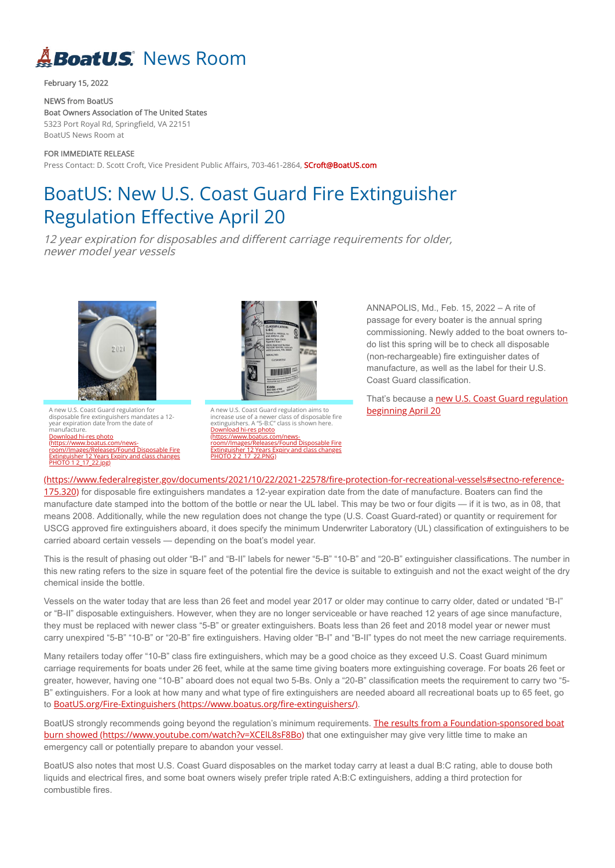## **ABoatU.S.** News Room

February 15, 2022

FOR IMMEDIATE RELEASE Press Contact: D. Scott Croft, Vice President Public Affairs, 703-461-2864, **SCroft@BoatUS.com** 

NEWS from BoatUS Boat Owners Association of The United States 5323 Port Royal Rd, Springfield, VA 22151 BoatUS News Room at

A new U.S. Coast Guard regulation for disposable fire extinguishers mandates a 12 year expiration date from the date of manufacture. Download hi-res photo (https://www.boatus.com/news[room//Images/Releases/Found Disposable Fire](https://www.boatus.com/news-room//Images/Releases/Found%20Disposable%20Fire%20Extinguisher%2012%20Years%20Expiry%20and%20class%20changes%20PHOTO%201%202_17_22.jpg) Extinguisher 12 Years Expiry and class changes PHOTO 1 2 17 22.jpg)



## BoatUS: New U.S. Coast Guard Fire Extinguisher Regulation Effective April 20

A new U.S. Coast Guard regulation aims to increase use of a newer class of disposable fire extinguishers. A "5-B:C" class is shown here. Download hi-res photo (https://www.boatus.com/news[room//Images/Releases/Found Disposable Fire](https://www.boatus.com/news-room//Images/Releases/Found%20Disposable%20Fire%20Extinguisher%2012%20Years%20Expiry%20and%20class%20changes%20PHOTO%202%202_17_22.PNG) Extinguisher 12 Years Expiry and class changes <u>PHOTO 2 2\_17\_22.PNG)</u>

12 year expiration for disposables and different carriage requirements for older, newer model year vessels



That's because a new U.S. Coast Guard regulation beginning April 20

175.320) for disposable fire extinguishers mandates a 12-year expiration date from the date of manufacture. Boaters can find the manufacture date stamped into the bottom of the bottle or near the UL label. This may be two or four digits — if it is two, as in 08, that means 2008. Additionally, while the new regulation does not change the type (U.S. Coast Guard-rated) or quantity or requirement for USCG approved fire extinguishers aboard, it does specify the minimum Underwriter Laboratory (UL) classification of extinguishers to be carried aboard certain vessels — depending on the boat's model year.

ANNAPOLIS, Md., Feb. 15, 2022 – A rite of passage for every boater is the annual spring commissioning. Newly added to the boat owners todo list this spring will be to check all disposable (non-rechargeable) fire extinguisher dates of manufacture, as well as the label for their U.S. Coast Guard classification.

[\(https://www.federalregister.gov/documents/2021/10/22/2021-22578/fire-protection-for-recreational-vessels#sectno-reference-](https://www.federalregister.gov/documents/2021/10/22/2021-22578/fire-protection-for-recreational-vessels#sectno-reference-175.320)

[BoatUS strongly recommends going beyond the regulation's minimum requirements.](https://www.youtube.com/watch?v=XCElL8sF8Bo) The results from a Foundation-sponsored boat burn showed (https://www.youtube.com/watch?v=XCEIL8sF8Bo) that one extinguisher may give very little time to make an emergency call or potentially prepare to abandon your vessel.

This is the result of phasing out older "B-I" and "B-II" labels for newer "5-B" "10-B" and "20-B" extinguisher classifications. The number in this new rating refers to the size in square feet of the potential fire the device is suitable to extinguish and not the exact weight of the dry chemical inside the bottle.

Vessels on the water today that are less than 26 feet and model year 2017 or older may continue to carry older, dated or undated "B-I" or "B-II" disposable extinguishers. However, when they are no longer serviceable or have reached 12 years of age since manufacture, they must be replaced with newer class "5-B" or greater extinguishers. Boats less than 26 feet and 2018 model year or newer must carry unexpired "5-B" "10-B" or "20-B" fire extinguishers. Having older "B-I" and "B-II" types do not meet the new carriage requirements.

Many retailers today offer "10-B" class fire extinguishers, which may be a good choice as they exceed U.S. Coast Guard minimum carriage requirements for boats under 26 feet, while at the same time giving boaters more extinguishing coverage. For boats 26 feet or greater, however, having one "10-B" aboard does not equal two 5-Bs. Only a "20-B" classification meets the requirement to carry two "5- B" extinguishers. For a look at how many and what type of fire extinguishers are needed aboard all recreational boats up to 65 feet, go to [BoatUS.org/Fire-Extinguishers \(https://www.boatus.org/fire-extinguishers/\)](https://www.boatus.org/fire-extinguishers/).

BoatUS also notes that most U.S. Coast Guard disposables on the market today carry at least a dual B:C rating, able to douse both liquids and electrical fires, and some boat owners wisely prefer triple rated A:B:C extinguishers, adding a third protection for combustible fires.